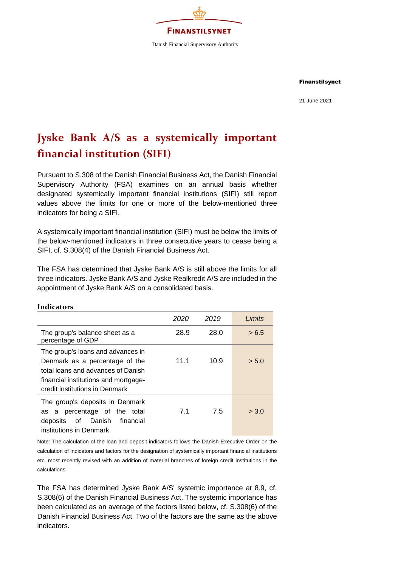

Finanstilsynet

21 June 2021

# **Jyske Bank A/S as a systemically important financial institution (SIFI)**

Pursuant to S.308 of the Danish Financial Business Act, the Danish Financial Supervisory Authority (FSA) examines on an annual basis whether designated systemically important financial institutions (SIFI) still report values above the limits for one or more of the below-mentioned three indicators for being a SIFI.

A systemically important financial institution (SIFI) must be below the limits of the below-mentioned indicators in three consecutive years to cease being a SIFI, cf. S.308(4) of the Danish Financial Business Act.

The FSA has determined that Jyske Bank A/S is still above the limits for all three indicators. Jyske Bank A/S and Jyske Realkredit A/S are included in the appointment of Jyske Bank A/S on a consolidated basis.

|                                                                                                                                                                                     | 2020 | 2019 | Limits |
|-------------------------------------------------------------------------------------------------------------------------------------------------------------------------------------|------|------|--------|
| The group's balance sheet as a<br>percentage of GDP                                                                                                                                 | 28.9 | 28.0 | > 6.5  |
| The group's loans and advances in<br>Denmark as a percentage of the<br>total loans and advances of Danish<br>financial institutions and mortgage-<br>credit institutions in Denmark | 11.1 | 10.9 | > 5.0  |
| The group's deposits in Denmark<br>as a percentage of the total<br>deposits of Danish<br>financial<br>institutions in Denmark                                                       | 7.1  | 7.5  | > 3.0  |

# Note: The calculation of the loan and deposit indicators follows the Danish Executive Order on the calculation of indicators and factors for the designation of systemically important financial institutions etc. most recently revised with an addition of material branches of foreign credit institutions in the calculations.

The FSA has determined Jyske Bank A/S' systemic importance at 8.9, cf. S.308(6) of the Danish Financial Business Act. The systemic importance has been calculated as an average of the factors listed below, cf. S.308(6) of the Danish Financial Business Act. Two of the factors are the same as the above indicators.

#### **Indicators**